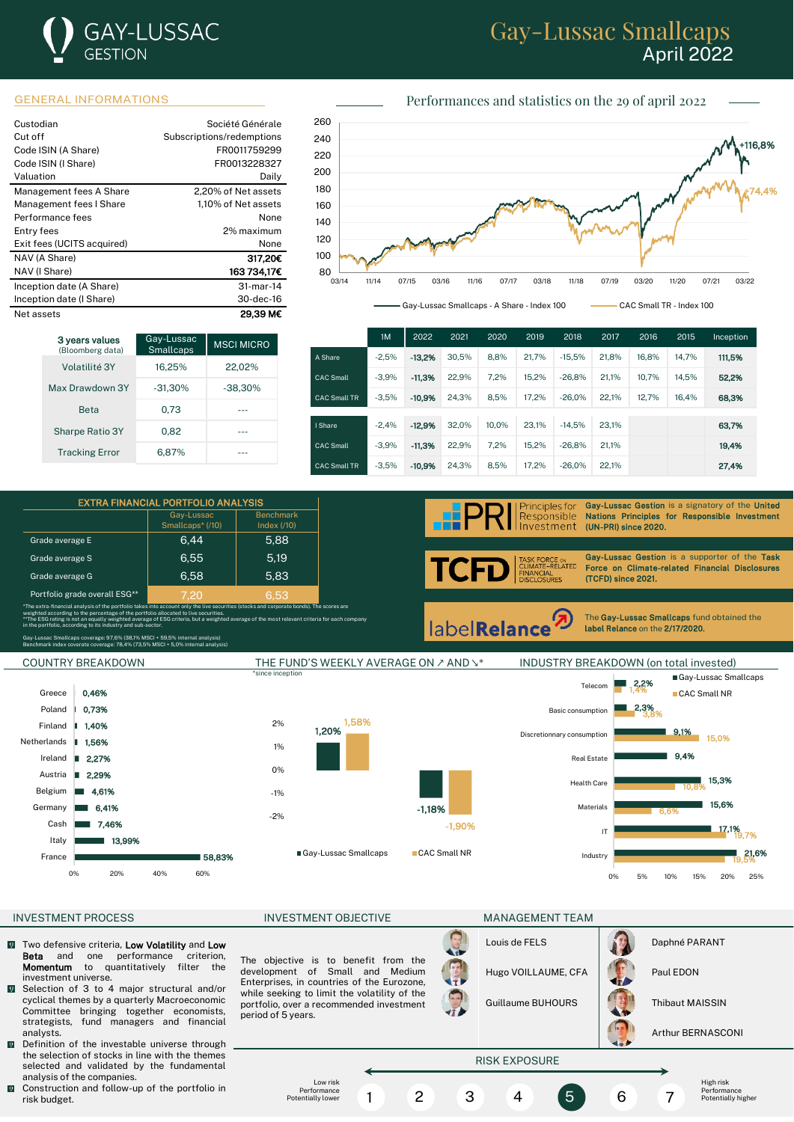

# Gay-Lussac Smallcaps April 2022

### GENERAL INFORMATIONS Performances and statistics on the 29 of april 2022

| Custodian<br>Cut off<br>Code ISIN (A Share) | Société Générale<br>Subscriptions/redemptions<br>FR0011759299 |
|---------------------------------------------|---------------------------------------------------------------|
| Code ISIN (I Share)<br>Valuation            | FR0013228327<br>Daily                                         |
|                                             |                                                               |
| Management fees A Share                     | 2,20% of Net assets                                           |
| Management fees I Share                     | 1.10% of Net assets                                           |
| Performance fees                            | None                                                          |
| Entry fees                                  | 2% maximum                                                    |
| Exit fees (UCITS acquired)                  | None                                                          |
| NAV (A Share)                               | 317.20C                                                       |
| NAV (I Share)                               | 163 734,17€                                                   |
| Inception date (A Share)                    | 31-mar-14                                                     |
| Inception date (I Share)                    | 30-dec-16                                                     |
| Net assets                                  | 29.39 M€                                                      |

| 3 years values<br>(Bloomberg data) | Gay-Lussac<br><b>Smallcaps</b> | <b>MSCI MICRO</b> |
|------------------------------------|--------------------------------|-------------------|
| Volatilité 3Y                      | 16.25%                         | 22.02%            |
| Max Drawdown 3Y                    | $-31.30%$                      | $-38,30%$         |
| <b>Reta</b>                        | 0.73                           |                   |
| <b>Sharpe Ratio 3Y</b>             | 0.82                           |                   |
| <b>Tracking Error</b>              | 6.87%                          |                   |

EXTRA FINANCIAL PORTFOLIO ANALYSIS Gay-Lussa Smallcaps\* (/10)

\*The extra-financial analysis of the portfolio takes into account only the live securities (stocks and corporate bonds). The scores are

\*\*The ESG rating is not an equally weighted average of ESG criteria, but a weighted average of the most relevant criteria for each company

Grade average E 6,44 5,88 Grade average S 6,55 5,19 Grade average G  $\vert$  6,58  $\vert$  5,83



03/14 09/14 03/15 09/15 03/16 09/16 03/17 09/17 03/18 09/18 03/19 09/19 03/20 09/20 03/21

03/14 11/14 07/15 03/16 11/16 07/17 03/18 11/18 07/19 03/20 11/20 07/21 03/22

Gay-Lussac Smallcaps - A Share - Index 100 CAC Small TR - Index 100 Gay-Lussac Smallcaps - A Share - Index 100 CAC Small TR - Index 100

|                     | 1M      | 2022     | 2021  | 2020  | 2019  | 2018     | 2017  | 2016  | 2015  | Inception |
|---------------------|---------|----------|-------|-------|-------|----------|-------|-------|-------|-----------|
| A Share             | $-2.5%$ | $-13.2%$ | 30.5% | 8.8%  | 21.7% | $-15.5%$ | 21.8% | 16.8% | 14.7% | 111,5%    |
| <b>CAC Small</b>    | $-3.9%$ | $-11.3%$ | 22.9% | 7,2%  | 15.2% | $-26.8%$ | 21.1% | 10.7% | 14.5% | 52,2%     |
| <b>CAC Small TR</b> | $-3.5%$ | $-10.9%$ | 24.3% | 8.5%  | 17.2% | $-26.0%$ | 22.1% | 12.7% | 16.4% | 68,3%     |
|                     |         |          |       |       |       |          |       |       |       |           |
| I Share             | $-2.4%$ | $-12.9%$ | 32.0% | 10.0% | 23.1% | $-14.5%$ | 23.1% |       |       | 63.7%     |
| <b>CAC Small</b>    | $-3.9%$ | $-11.3%$ | 22.9% | 7.2%  | 15.2% | $-26.8%$ | 21.1% |       |       | 19,4%     |
| <b>CAC Small TR</b> | $-3.5%$ | $-10.9%$ | 24.3% | 8.5%  | 17.2% | $-26.0%$ | 22.1% |       |       | 27,4%     |

Principles for Responsible Investment

Gay-Lussac Gestion is a signatory of the United Nations Principles for Responsible Investment (UN-PRI) since 2020.

TCFD RCE ⊙N<br>−RELATED∶ **VANCIAL<br>SCLOSURES** 

Gay-Lussac Gestion is a supporter of the Task Force on Climate-related Financial Disclosures (TCFD) since 2021.

labelRelance

The Gay-Lussac Smallcaps fund obtained the label Relance on the 2/17/2020.

l

Gay-Lussac Smallcaps coverage: 97,6% (38,1% MSCI + 59,5% internal analysis) Benchmark index coverate coverage: 78,4% (73,5% MSCI + 5,0% internal analysis)

weighted according to the percentage of the portfolio allocated to live securities.

Portfolio grade overall ESG\*\*

in the portfolio, according to its industry and sub-sector.



80 80

Benchmark Index (/10)

\*since inception Gay-Lussac Smallcaps Telecom 1,4% 2,2% Greece 0,46% CAC Small NR **2.3%** Poland h. 0,73% Basic consumption 3,8% 1,58% 2% Finland I. 1,40% 1,20% 9,1% Discretionnary consumption 15,0% **Netherlands** J. 1,56% 1% 9,4% Ireland п 2,27% Real Estate 0% Austria 'n 2,29% 15,3% Health Care 10,8% Belgium 4,61% -1% 15,6% **Germany** 6,41% -1,18% Materials 6,6% -2% Cash 7,46% -1,90% 17,1% IT 19,7% Italy 13,99% Gay-Lussac Smallcaps CAC Small NR 21,6% France ■ 58,83% **Industry** 19,5% 0% 20% 40% 60% 0% 5% 10% 15% 20% 25%

### INVESTMENT PROCESS INVESTMENT OBJECTIVE MANAGEMENT TEAM

- $\sqrt{2}$ Two defensive criteria, Low Volatility and Low Beta and one performance criterion, Momentum to quantitatively filter the investment universe.
- **M** Selection of 3 to 4 major structural and/or cyclical themes by a quarterly Macroeconomic Committee bringing together economists, strategists, fund managers and financial analysts.
- Definition of the investable universe through the selection of stocks in line with the themes selected and validated by the fundamental analysis of the companies.
- $\blacksquare$  Construction and follow-up of the portfolio in risk budget.

The objective is to benefit from the development of Small and Medium Enterprises, in countries of the Eurozone, while seeking to limit the volatility of the portfolio, over a recommended investment period of 5 years.

|              | Lc |
|--------------|----|
| $\mathbf{r}$ | Ηı |
|              | Gι |

**Contract Contract Contract Contract** 

| Louis de FELS       | Daphné PARANT |
|---------------------|---------------|
| Hugo VOILLAUME, CFA | Paul EDON     |

uillaume BUHOURS | **Thibaut MAISSIN** 

Hugo VOILLAUME, CFA Paul EDON



Arthur BERNASCONI